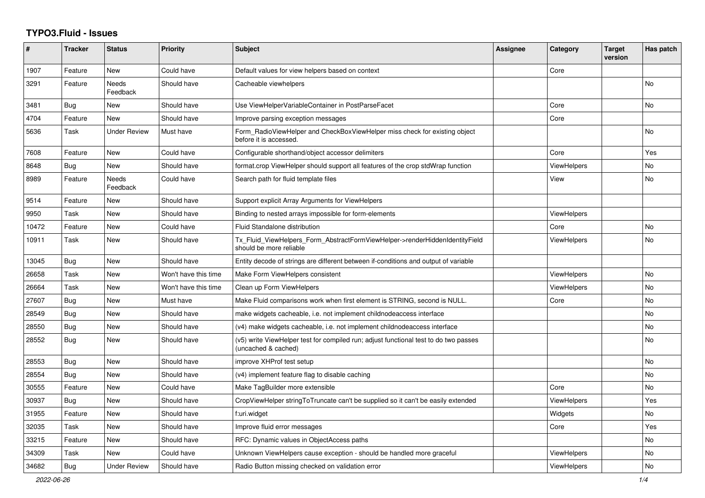## **TYPO3.Fluid - Issues**

| $\#$  | <b>Tracker</b> | <b>Status</b>       | <b>Priority</b>      | <b>Subject</b>                                                                                              | Assignee | Category           | <b>Target</b><br>version | Has patch      |
|-------|----------------|---------------------|----------------------|-------------------------------------------------------------------------------------------------------------|----------|--------------------|--------------------------|----------------|
| 1907  | Feature        | New                 | Could have           | Default values for view helpers based on context                                                            |          | Core               |                          |                |
| 3291  | Feature        | Needs<br>Feedback   | Should have          | Cacheable viewhelpers                                                                                       |          |                    |                          | <b>No</b>      |
| 3481  | Bug            | New                 | Should have          | Use ViewHelperVariableContainer in PostParseFacet                                                           |          | Core               |                          | <b>No</b>      |
| 4704  | Feature        | <b>New</b>          | Should have          | Improve parsing exception messages                                                                          |          | Core               |                          |                |
| 5636  | Task           | Under Review        | Must have            | Form_RadioViewHelper and CheckBoxViewHelper miss check for existing object<br>before it is accessed.        |          |                    |                          | No             |
| 7608  | Feature        | New                 | Could have           | Configurable shorthand/object accessor delimiters                                                           |          | Core               |                          | Yes            |
| 8648  | <b>Bug</b>     | New                 | Should have          | format.crop ViewHelper should support all features of the crop stdWrap function                             |          | <b>ViewHelpers</b> |                          | No             |
| 8989  | Feature        | Needs<br>Feedback   | Could have           | Search path for fluid template files                                                                        |          | View               |                          | No             |
| 9514  | Feature        | New                 | Should have          | Support explicit Array Arguments for ViewHelpers                                                            |          |                    |                          |                |
| 9950  | Task           | <b>New</b>          | Should have          | Binding to nested arrays impossible for form-elements                                                       |          | <b>ViewHelpers</b> |                          |                |
| 10472 | Feature        | <b>New</b>          | Could have           | Fluid Standalone distribution                                                                               |          | Core               |                          | <b>No</b>      |
| 10911 | Task           | New                 | Should have          | Tx_Fluid_ViewHelpers_Form_AbstractFormViewHelper->renderHiddenIdentityField<br>should be more reliable      |          | ViewHelpers        |                          | <b>No</b>      |
| 13045 | <b>Bug</b>     | <b>New</b>          | Should have          | Entity decode of strings are different between if-conditions and output of variable                         |          |                    |                          |                |
| 26658 | Task           | New                 | Won't have this time | Make Form ViewHelpers consistent                                                                            |          | <b>ViewHelpers</b> |                          | N <sub>o</sub> |
| 26664 | Task           | <b>New</b>          | Won't have this time | Clean up Form ViewHelpers                                                                                   |          | ViewHelpers        |                          | No             |
| 27607 | <b>Bug</b>     | New                 | Must have            | Make Fluid comparisons work when first element is STRING, second is NULL.                                   |          | Core               |                          | No             |
| 28549 | Bug            | New                 | Should have          | make widgets cacheable, i.e. not implement childnodeaccess interface                                        |          |                    |                          | <b>No</b>      |
| 28550 | Bug            | <b>New</b>          | Should have          | (v4) make widgets cacheable, i.e. not implement childnodeaccess interface                                   |          |                    |                          | No             |
| 28552 | <b>Bug</b>     | New                 | Should have          | (v5) write ViewHelper test for compiled run; adjust functional test to do two passes<br>(uncached & cached) |          |                    |                          | <b>No</b>      |
| 28553 | <b>Bug</b>     | <b>New</b>          | Should have          | improve XHProf test setup                                                                                   |          |                    |                          | <b>No</b>      |
| 28554 | <b>Bug</b>     | New                 | Should have          | (v4) implement feature flag to disable caching                                                              |          |                    |                          | <b>No</b>      |
| 30555 | Feature        | <b>New</b>          | Could have           | Make TagBuilder more extensible                                                                             |          | Core               |                          | <b>No</b>      |
| 30937 | Bug            | New                 | Should have          | CropViewHelper stringToTruncate can't be supplied so it can't be easily extended                            |          | ViewHelpers        |                          | Yes            |
| 31955 | Feature        | New                 | Should have          | f:uri.widget                                                                                                |          | Widgets            |                          | No             |
| 32035 | Task           | <b>New</b>          | Should have          | Improve fluid error messages                                                                                |          | Core               |                          | Yes            |
| 33215 | Feature        | New                 | Should have          | RFC: Dynamic values in ObjectAccess paths                                                                   |          |                    |                          | No.            |
| 34309 | Task           | New                 | Could have           | Unknown ViewHelpers cause exception - should be handled more graceful                                       |          | <b>ViewHelpers</b> |                          | No             |
| 34682 | Bug            | <b>Under Review</b> | Should have          | Radio Button missing checked on validation error                                                            |          | <b>ViewHelpers</b> |                          | No             |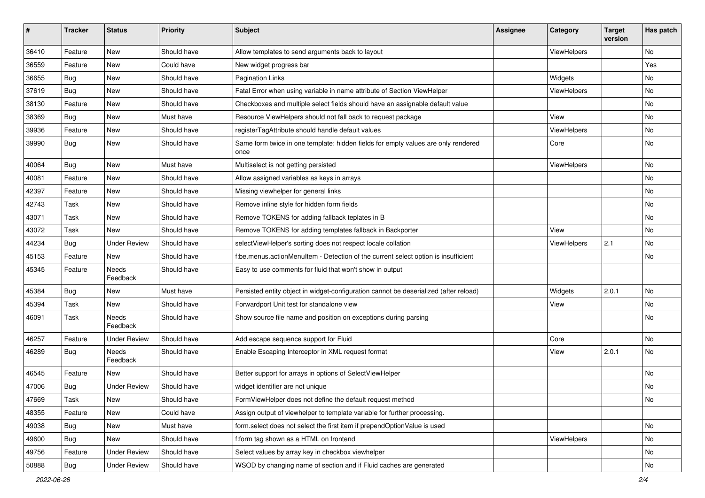| #     | <b>Tracker</b> | <b>Status</b>       | <b>Priority</b> | <b>Subject</b>                                                                            | <b>Assignee</b> | Category    | <b>Target</b><br>version | Has patch |
|-------|----------------|---------------------|-----------------|-------------------------------------------------------------------------------------------|-----------------|-------------|--------------------------|-----------|
| 36410 | Feature        | New                 | Should have     | Allow templates to send arguments back to layout                                          |                 | ViewHelpers |                          | <b>No</b> |
| 36559 | Feature        | New                 | Could have      | New widget progress bar                                                                   |                 |             |                          | Yes       |
| 36655 | Bug            | New                 | Should have     | <b>Pagination Links</b>                                                                   |                 | Widgets     |                          | No        |
| 37619 | Bug            | <b>New</b>          | Should have     | Fatal Error when using variable in name attribute of Section ViewHelper                   |                 | ViewHelpers |                          | No        |
| 38130 | Feature        | New                 | Should have     | Checkboxes and multiple select fields should have an assignable default value             |                 |             |                          | No        |
| 38369 | Bug            | <b>New</b>          | Must have       | Resource ViewHelpers should not fall back to request package                              |                 | View        |                          | No        |
| 39936 | Feature        | New                 | Should have     | registerTagAttribute should handle default values                                         |                 | ViewHelpers |                          | No        |
| 39990 | Bug            | New                 | Should have     | Same form twice in one template: hidden fields for empty values are only rendered<br>once |                 | Core        |                          | No        |
| 40064 | Bug            | New                 | Must have       | Multiselect is not getting persisted                                                      |                 | ViewHelpers |                          | No        |
| 40081 | Feature        | New                 | Should have     | Allow assigned variables as keys in arrays                                                |                 |             |                          | <b>No</b> |
| 42397 | Feature        | New                 | Should have     | Missing viewhelper for general links                                                      |                 |             |                          | No        |
| 42743 | Task           | New                 | Should have     | Remove inline style for hidden form fields                                                |                 |             |                          | No        |
| 43071 | Task           | <b>New</b>          | Should have     | Remove TOKENS for adding fallback teplates in B                                           |                 |             |                          | No        |
| 43072 | Task           | New                 | Should have     | Remove TOKENS for adding templates fallback in Backporter                                 |                 | View        |                          | No        |
| 44234 | Bug            | <b>Under Review</b> | Should have     | selectViewHelper's sorting does not respect locale collation                              |                 | ViewHelpers | 2.1                      | No        |
| 45153 | Feature        | New                 | Should have     | f:be.menus.actionMenuItem - Detection of the current select option is insufficient        |                 |             |                          | No        |
| 45345 | Feature        | Needs<br>Feedback   | Should have     | Easy to use comments for fluid that won't show in output                                  |                 |             |                          |           |
| 45384 | Bug            | New                 | Must have       | Persisted entity object in widget-configuration cannot be deserialized (after reload)     |                 | Widgets     | 2.0.1                    | No        |
| 45394 | Task           | New                 | Should have     | Forwardport Unit test for standalone view                                                 |                 | View        |                          | No        |
| 46091 | Task           | Needs<br>Feedback   | Should have     | Show source file name and position on exceptions during parsing                           |                 |             |                          | No        |
| 46257 | Feature        | Under Review        | Should have     | Add escape sequence support for Fluid                                                     |                 | Core        |                          | No        |
| 46289 | Bug            | Needs<br>Feedback   | Should have     | Enable Escaping Interceptor in XML request format                                         |                 | View        | 2.0.1                    | No        |
| 46545 | Feature        | New                 | Should have     | Better support for arrays in options of SelectViewHelper                                  |                 |             |                          | <b>No</b> |
| 47006 | <b>Bug</b>     | <b>Under Review</b> | Should have     | widget identifier are not unique                                                          |                 |             |                          | No        |
| 47669 | Task           | New                 | Should have     | FormViewHelper does not define the default request method                                 |                 |             |                          | N0        |
| 48355 | Feature        | New                 | Could have      | Assign output of viewhelper to template variable for further processing.                  |                 |             |                          |           |
| 49038 | <b>Bug</b>     | New                 | Must have       | form.select does not select the first item if prependOptionValue is used                  |                 |             |                          | No        |
| 49600 | Bug            | New                 | Should have     | f:form tag shown as a HTML on frontend                                                    |                 | ViewHelpers |                          | No        |
| 49756 | Feature        | <b>Under Review</b> | Should have     | Select values by array key in checkbox viewhelper                                         |                 |             |                          | No        |
| 50888 | Bug            | <b>Under Review</b> | Should have     | WSOD by changing name of section and if Fluid caches are generated                        |                 |             |                          | No        |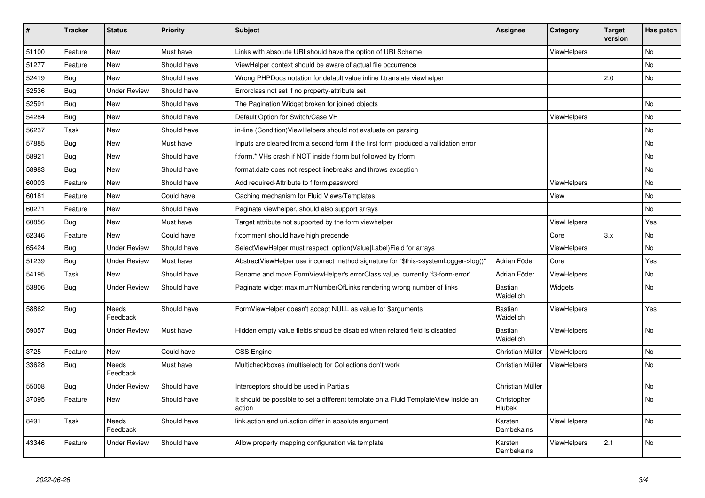| $\vert$ # | <b>Tracker</b> | <b>Status</b>            | <b>Priority</b> | <b>Subject</b>                                                                                | Assignee              | Category           | <b>Target</b><br>version | Has patch |
|-----------|----------------|--------------------------|-----------------|-----------------------------------------------------------------------------------------------|-----------------------|--------------------|--------------------------|-----------|
| 51100     | Feature        | New                      | Must have       | Links with absolute URI should have the option of URI Scheme                                  |                       | <b>ViewHelpers</b> |                          | <b>No</b> |
| 51277     | Feature        | New                      | Should have     | ViewHelper context should be aware of actual file occurrence                                  |                       |                    |                          | <b>No</b> |
| 52419     | <b>Bug</b>     | <b>New</b>               | Should have     | Wrong PHPDocs notation for default value inline f:translate viewhelper                        |                       |                    | 2.0                      | No        |
| 52536     | Bug            | <b>Under Review</b>      | Should have     | Errorclass not set if no property-attribute set                                               |                       |                    |                          |           |
| 52591     | Bug            | New                      | Should have     | The Pagination Widget broken for joined objects                                               |                       |                    |                          | <b>No</b> |
| 54284     | <b>Bug</b>     | New                      | Should have     | Default Option for Switch/Case VH                                                             |                       | ViewHelpers        |                          | No        |
| 56237     | Task           | New                      | Should have     | in-line (Condition) View Helpers should not evaluate on parsing                               |                       |                    |                          | No        |
| 57885     | Bug            | <b>New</b>               | Must have       | Inputs are cleared from a second form if the first form produced a vallidation error          |                       |                    |                          | No        |
| 58921     | <b>Bug</b>     | New                      | Should have     | f:form.* VHs crash if NOT inside f:form but followed by f:form                                |                       |                    |                          | <b>No</b> |
| 58983     | <b>Bug</b>     | <b>New</b>               | Should have     | format.date does not respect linebreaks and throws exception                                  |                       |                    |                          | No        |
| 60003     | Feature        | <b>New</b>               | Should have     | Add required-Attribute to f:form.password                                                     |                       | ViewHelpers        |                          | No        |
| 60181     | Feature        | <b>New</b>               | Could have      | Caching mechanism for Fluid Views/Templates                                                   |                       | View               |                          | <b>No</b> |
| 60271     | Feature        | <b>New</b>               | Should have     | Paginate viewhelper, should also support arrays                                               |                       |                    |                          | No        |
| 60856     | Bug            | New                      | Must have       | Target attribute not supported by the form viewhelper                                         |                       | ViewHelpers        |                          | Yes       |
| 62346     | Feature        | <b>New</b>               | Could have      | f:comment should have high precende                                                           |                       | Core               | 3.x                      | <b>No</b> |
| 65424     | Bug            | <b>Under Review</b>      | Should have     | SelectViewHelper must respect option(Value Label)Field for arrays                             |                       | <b>ViewHelpers</b> |                          | <b>No</b> |
| 51239     | Bug            | <b>Under Review</b>      | Must have       | AbstractViewHelper use incorrect method signature for "\$this->systemLogger->log()"           | Adrian Föder          | Core               |                          | Yes.      |
| 54195     | Task           | New                      | Should have     | Rename and move FormViewHelper's errorClass value, currently 'f3-form-error'                  | Adrian Föder          | ViewHelpers        |                          | <b>No</b> |
| 53806     | Bug            | <b>Under Review</b>      | Should have     | Paginate widget maximumNumberOfLinks rendering wrong number of links                          | Bastian<br>Waidelich  | Widgets            |                          | <b>No</b> |
| 58862     | <b>Bug</b>     | <b>Needs</b><br>Feedback | Should have     | FormViewHelper doesn't accept NULL as value for \$arguments                                   | Bastian<br>Waidelich  | <b>ViewHelpers</b> |                          | Yes       |
| 59057     | Bug            | <b>Under Review</b>      | Must have       | Hidden empty value fields shoud be disabled when related field is disabled                    | Bastian<br>Waidelich  | <b>ViewHelpers</b> |                          | <b>No</b> |
| 3725      | Feature        | New                      | Could have      | <b>CSS Engine</b>                                                                             | Christian Müller      | ViewHelpers        |                          | <b>No</b> |
| 33628     | Bug            | Needs<br>Feedback        | Must have       | Multicheckboxes (multiselect) for Collections don't work                                      | Christian Müller      | <b>ViewHelpers</b> |                          | <b>No</b> |
| 55008     | <b>Bug</b>     | <b>Under Review</b>      | Should have     | Interceptors should be used in Partials                                                       | Christian Müller      |                    |                          | <b>No</b> |
| 37095     | Feature        | New                      | Should have     | It should be possible to set a different template on a Fluid TemplateView inside an<br>action | Christopher<br>Hlubek |                    |                          | <b>No</b> |
| 8491      | Task           | <b>Needs</b><br>Feedback | Should have     | link.action and uri.action differ in absolute argument                                        | Karsten<br>Dambekalns | <b>ViewHelpers</b> |                          | <b>No</b> |
| 43346     | Feature        | <b>Under Review</b>      | Should have     | Allow property mapping configuration via template                                             | Karsten<br>Dambekalns | ViewHelpers        | 2.1                      | <b>No</b> |